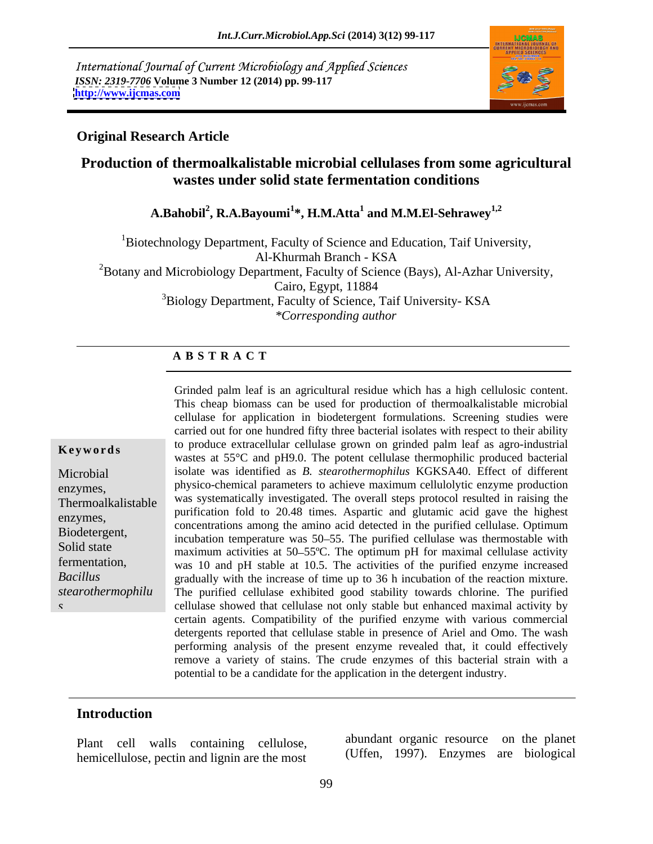International Journal of Current Microbiology and Applied Sciences *ISSN: 2319-7706* **Volume 3 Number 12 (2014) pp. 99-117 <http://www.ijcmas.com>**



#### **Original Research Article**

### **Production of thermoalkalistable microbial cellulases from some agricultural wastes under solid state fermentation conditions**

**A.Bahobil<sup>2</sup> , R.A.Bayoumi<sup>1</sup> \*, H.M.Atta<sup>1</sup> and M.M.El-Sehrawey1,2**

<sup>1</sup>Biotechnology Department, Faculty of Science and Education, Taif University, Al-Khurmah Branch - KSA  ${}^{2}$ Botany and Microbiology Department, Faculty of Science (Bays), Al-Azhar University, Cairo, Egypt, 11884 <sup>3</sup>Biology Department, Faculty of Science, Taif University-KSA *\*Corresponding author* 

#### **A B S T R A C T**

**Keywords** to produce extracentual central grown on grinded paint lear as agro-modistrial wastes at 55°C and pH9.0. The potent cellulase thermophilic produced bacterial Microbial isolate was identified as *B. stearothermophilus* KGKSA40. Effect of different enzymes, physico-chemical parameters to achieve maximum cellulolytic enzyme production Thermoalkalistable was systematically investigated. The overall steps protocol resulted in raising the enzymes,<br>
concentrations among the amino acid detected in the purified cellulase. Optimum Biodetergent,<br>
incubation temperature was 50–55. The purified cellulase was thermostable with Solid state maximum activities at 50–55°C. The optimum pH for maximal cellulase activity fermentation, was 10 and pH stable at 10.5. The activities of the purified enzyme increased *Bacillus* gradually with the increase of time up to 36 h incubation of the reaction mixture. *stearothermophilu* The purified cellulase exhibited good stability towards chlorine. The purified *s* cellulase showed that cellulase not only stable but enhanced maximal activity by Grinded palm leaf is an agricultural residue which has a high cellulosic content. This cheap biomass can be used for production of thermoalkalistable microbial cellulase for application in biodetergent formulations. Screening studies were carried out for one hundred fifty three bacterial isolates with respect to their ability to produce extracellular cellulase grown on grinded palm leaf as agro-industrial purification fold to 20.48 times. Aspartic and glutamic acid gave the highest certain agents. Compatibility of the purified enzyme with various commercial detergents reported that cellulase stable in presence of Ariel and Omo. The wash performing analysis of the present enzyme revealed that, it could effectively remove a variety of stains. The crude enzymes of this bacterial strain with a potential to be a candidate for the application in the detergent industry.

#### **Introduction**

Plant cell walls containing cellulose, hemicellulose, pectin and lignin are the most abundant organic resource on the planet (Uffen, 1997). Enzymes are biological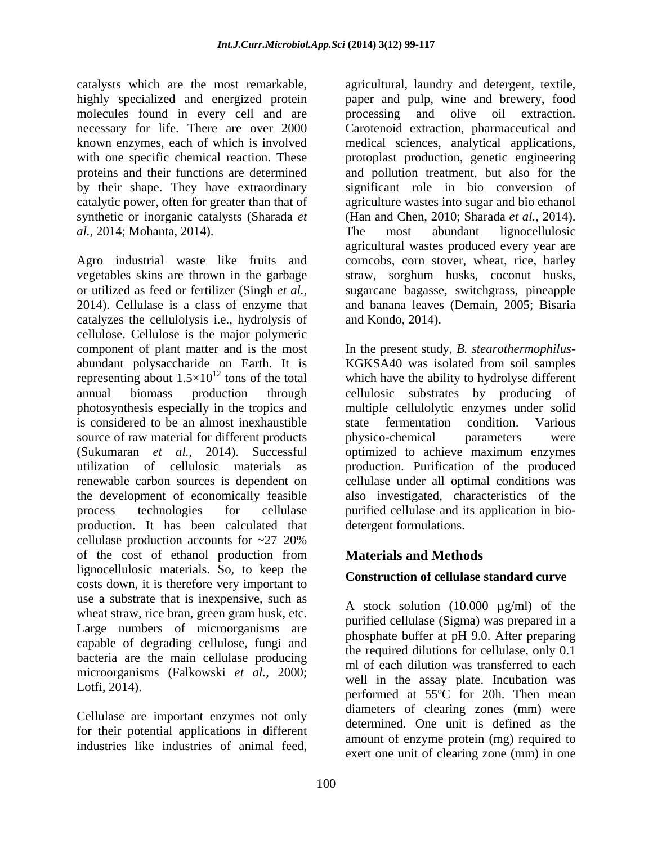molecules found in every cell and are synthetic or inorganic catalysts(Sharada *et al.,* 2014; Mohanta, 2014).

Agro industrial waste like fruits and corncobs, corn stover, wheat, rice, barley vegetables skins are thrown in the garbage straw, sorghum husks, coconut husks, or utilized as feed or fertilizer (Singh *et al.,* sugarcane bagasse, switchgrass, pineapple 2014). Cellulase is a class of enzyme that and banana leaves (Demain, 2005; Bisaria catalyzes the cellulolysis i.e., hydrolysis of cellulose. Cellulose is the major polymeric component of plant matter and is the most In the present study, *B. stearothermophilus* abundant polysaccharide on Earth. It is KGKSA40 was isolated from soil samples representing about  $1.5 \times 10^{12}$  tons of the total annual biomass production through cellulosic substrates by producing of photosynthesis especially in the tropics and multiple cellulolytic enzymes under solid is considered to be an almost inexhaustible source of raw material for different products by physico-chemical parameters were (Sukumaran *et al.,* 2014). Successful utilization of cellulosic materials as production. Purification of the produced renewable carbon sources is dependent on cellulase under all optimal conditions was the development of economically feasible process technologies for cellulase purified cellulase and its application in bio production. It has been calculated that cellulase production accounts for  $\approx 27 - 20\%$ of the cost of ethanol production from lignocellulosic materials. So, to keep the costs down, it is therefore very important to use a substrate that is inexpensive, such as wheat straw, rice bran, green gram husk, etc. Large numbers of microorganisms are capable of degrading cellulose, fungi and bacteria are the main cellulase producing microorganisms (Falkowski *et al.,* 2000;

Cellulase are important enzymes not only for their potential applications in different industries like industries of animal feed,

catalysts which are the most remarkable, agricultural, laundry and detergent, textile, highly specialized and energized protein paper and pulp, wine and brewery, food necessary for life. There are over 2000 Carotenoid extraction, pharmaceutical and known enzymes, each of which is involved medical sciences, analytical applications, with one specific chemical reaction. These  $\qquad$  protoplast production, genetic engineering proteins and their functions are determined and pollution treatment, but also for the by their shape. They have extraordinary significant role in bio conversion of catalytic power, often for greater than that of agriculture wastes into sugar and bio ethanol and olive oil extraction. (Han and Chen, 2010; Sharada *et al.,* 2014). The most abundant lignocellulosic agricultural wastes produced every year are and Kondo, 2014).

> which have the ability to hydrolyse different state fermentation condition. Various physico-chemical parameters were optimized to achieve maximum enzymes also investigated, characteristics of the detergent formulations.

# **Materials and Methods**

### **Construction of cellulase standard curve**

Lotfi, 2014).  $\begin{array}{ccc}\n\text{WCH} & \text{in the assay plate. The  
\nperformed at 55°C for 20h. Then mean\n\end{array}$ A stock solution  $(10.000 \mu g/ml)$  of the purified cellulase (Sigma) was prepared in a phosphate buffer at pH 9.0. After preparing the required dilutions for cellulase, only 0.1 ml of each dilution was transferred to each well in the assay plate. Incubation was diameters of clearing zones (mm) were determined. One unit is defined as the amount of enzyme protein (mg) required to exert one unit of clearing zone (mm) in one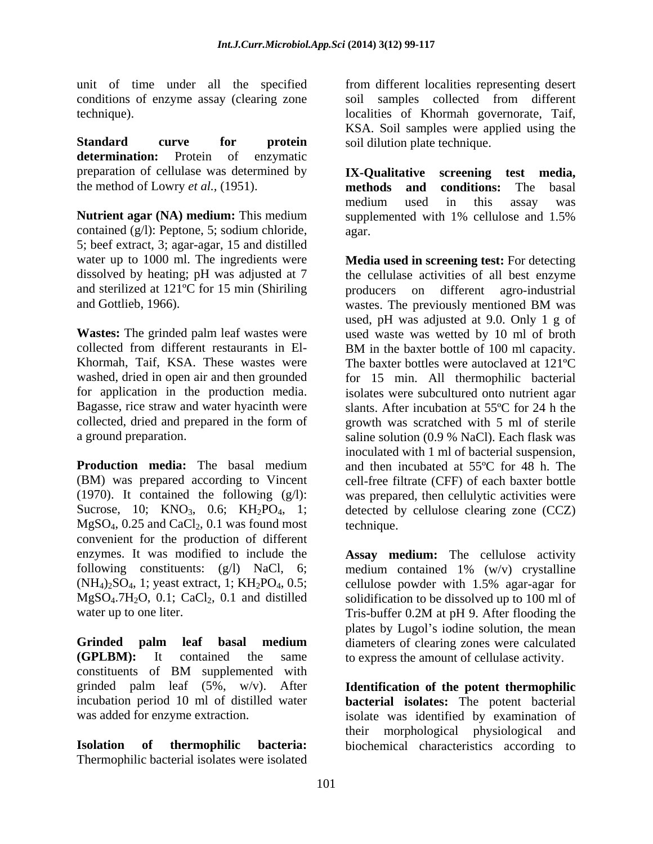conditions of enzyme assay (clearing zone

**determination:** Protein of enzymatic preparation of cellulase was determined by **IX-Qualitative** screening test media, the method of Lowry *et al.*, (1951). **Interpretate methods** and conditions: The basal

**Nutrient agar (NA) medium:** This medium contained (g/l): Peptone, 5; sodium chloride, 5; beef extract, 3; agar-agar, 15 and distilled and Gottlieb, 1966). was vastes. The previously mentioned BM was

collected from different restaurants in El-<br>BM in the baxter bottle of 100 ml capacity. Bagasse, rice straw and water hyacinth were slants. After incubation at 55 °C for 24 h the

**Production media:** The basal medium and then incubated at 55<sup>o</sup>C for 48 h. The (BM) was prepared according to Vincent cell-free filtrate (CFF) of each baxter bottle (1970). It contained the following (g/l): was prepared, then cellulytic activities were Sucrose, 10; KNO<sub>3</sub>, 0.6; KH<sub>2</sub>PO<sub>4</sub>, 1; detected by cellulose clearing zone (CCZ)  $MgSO<sub>4</sub>, 0.25$  and  $CaCl<sub>2</sub>, 0.1$  was found most technique. convenient for the production of different enzymes. It was modified to include the **Assay medium:** The cellulose activity following constituents: (g/l) NaCl, 6; medium contained 1% (w/v) crystalline  $(NH_4)_2SO_4$ , 1; yeast extract, 1;  $KH_2PO_4$ , 0.5; cellulose powder with 1.5% agar-agar for  $MgSO_4$ .7H<sub>2</sub>O, 0.1; CaCl<sub>2</sub>, 0.1 and distilled solidification to be dissolved up to 100 ml of water up to one liter. Tris-buffer 0.2M at pH 9. After flooding the

**Grinded palm leaf basal medium** diameters of clearing zones were calculated **(GPLBM):** It contained the same to express the amount of cellulase activity. constituents of BM supplemented with grinded palm leaf (5%, w/v). After **Identification of the potent thermophilic** incubation period 10 ml of distilled water **bacterial isolates:** The potent bacterial

**Isolation of thermophilic bacteria:** biochemical characteristics according toThermophilic bacterial isolates were isolated

unit of time under all the specified from different localities representing desert technique). localities of Khormah governorate, Taif, **Standard curve for protein soil dilution plate technique.** soil samples collected from different KSA. Soil samples were applied using the soil dilution plate technique.

> **IX-Qualitative screening test media, methods and conditions:** The basal medium used in this assay was supplemented with 1% cellulose and 1.5% agar.

water up to 1000 ml. The ingredients were **Media used in screening test:** For detecting dissolved by heating; pH was adjusted at 7 the cellulase activities of all best enzyme and sterilized at 121ºC for 15 min (Shiriling producers on different agro-industrial **Wastes:** The grinded palm leaf wastes were used waste was wetted by 10 ml of broth Khormah, Taif, KSA. These wastes were The baxter bottles were autoclaved at 121ºC washed, dried in open air and then grounded for 15 min. All thermophilic bacterial for application in the production media. isolates were subcultured onto nutrient agar collected, dried and prepared in the form of growth was scratched with 5 ml of sterile a ground preparation. saline solution (0.9 % NaCl). Each flask was wastes. The previously mentioned BM was used, pH was adjusted at 9.0. Only 1 g of BM in the baxter bottle of 100 ml capacity. slants. After incubation at 55ºC for 24 h the inoculated with 1 ml of bacterial suspension, technique.

> Tris-buffer 0.2M at pH 9. After flooding the plates by Lugol's iodine solution, the mean

was added for enzyme extraction. isolate was identified by examination of their morphological physiological and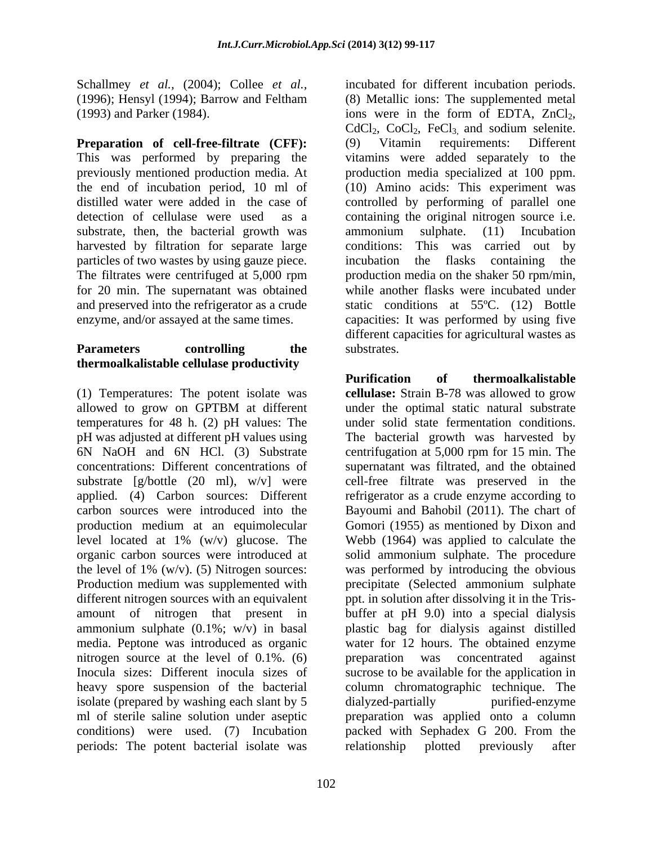(1993) and Parker (1984). ions were in the form of EDTA, ZnCl<sub>2</sub>,

**Preparation of cell-free-filtrate (CFF):** This was performed by preparing the vitamins were added separately to the previously mentioned production media. At production media specialized at 100 ppm. the end of incubation period, 10 ml of distilled water were added in the case of controlled by performing of parallel one detection of cellulase were used as a containing the original nitrogen source i.e. substrate, then, the bacterial growth was ammonium sulphate. (11) Incubation harvested by filtration for separate large conditions: particles of two wastes by using gauze piece. The filtrates were centrifuged at 5,000 rpm production media on the shaker 50 rpm/min, for 20 min. The supernatant was obtained and preserved into the refrigerator as a crude static conditions at 55ºC. (12) Bottle enzyme, and/or assayed at the same times. capacities: It was performed by using five

#### **Parameters controlling the** substrates. **thermoalkalistable cellulase productivity**

temperatures for 48 h. (2) pH values: The pH was adjusted at different pH values using concentrations: Different concentrations of Production medium was supplemented with different nitrogen sources with an equivalent nitrogen source at the level of 0.1%. (6) between the concentrated against isolate (prepared by washing each slant by 5 dialyzed-partially purified-enzyme periods: The potent bacterial isolate was relationship plotted previously after

Schallmey *et al.,* (2004); Collee *et al.,* incubated for different incubation periods. (1996); Hensyl (1994); Barrow and Feltham (8) Metallic ions: The supplemented metal ions were in the form of EDTA,  $ZnCl_2$ , CdCl<sub>2</sub>, CoCl<sub>2</sub>, FeCl<sub>3</sub>, and sodium selenite. (9) Vitamin requirements: Different (10) Amino acids: This experiment was ammonium sulphate. (11) Incubation This was carried out by incubation the flasks containing the while another flasks were incubated under different capacities for agricultural wastes as substrates.

(1) Temperatures: The potent isolate was **cellulase:** Strain B-78 was allowed to grow allowed to grow on GPTBM at different 6N NaOH and 6N HCl. (3) Substrate centrifugation at 5,000 rpm for 15 min. The substrate [g/bottle (20 ml), w/v] were cell-free filtrate was preserved in the applied. (4) Carbon sources: Different refrigerator as a crude enzyme according to carbon sources were introduced into the Bayoumi and Bahobil (2011). The chart of production medium at an equimolecular Gomori (1955) as mentioned by Dixon and level located at 1% (w/v) glucose. The Webb (1964) was applied to calculate the organic carbon sources were introduced at solid ammonium sulphate. The procedure the level of 1% (w/v). (5) Nitrogen sources: was performed by introducing the obvious amount of nitrogen that present in buffer at pH 9.0) into a special dialysis ammonium sulphate (0.1%; w/v) in basal plastic bag for dialysis against distilled media. Peptone was introduced as organic water for 12 hours. The obtained enzyme Inocula sizes: Different inocula sizes of sucrose to be available for the application in heavy spore suspension of the bacterial column chromatographic technique. The ml of sterile saline solution under aseptic preparation was applied onto a column conditions) were used. (7) Incubation packed with Sephadex G 200. From the **Purification of thermoalkalistable** under the optimal static natural substrate under solid state fermentation conditions. The bacterial growth was harvested by supernatant was filtrated, and the obtained precipitate (Selected ammonium sulphate ppt. in solution after dissolving it in the Tris preparation was concentrated against dialyzed-partially purified-enzyme relationship plotted previously after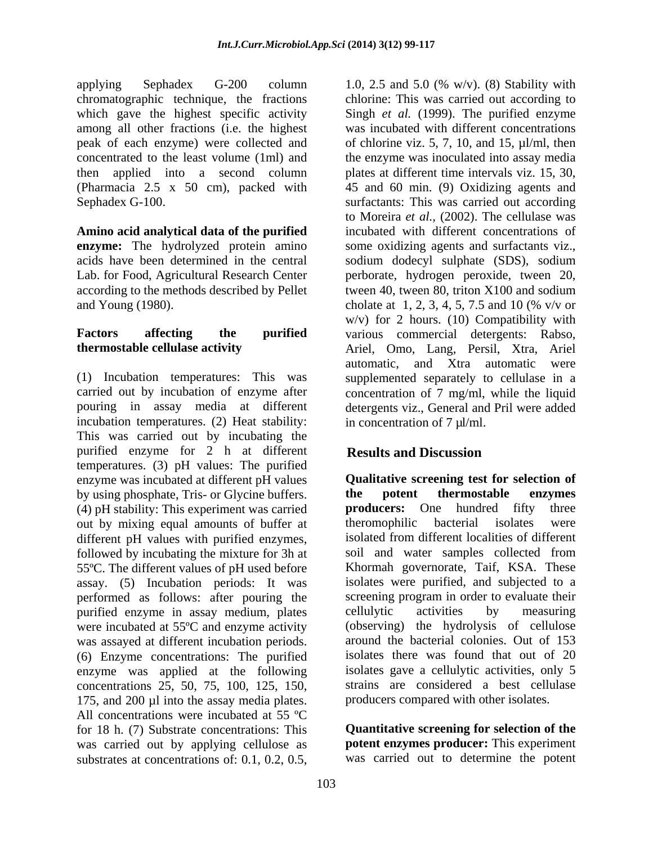applying Sephadex G-200 column 1.0, 2.5 and 5.0 (% w/v). (8) Stability with chromatographic technique, the fractions peak of each enzyme) were collected and (Pharmacia 2.5 x 50 cm), packed with

**Amino acid analytical data of the purified** according to the methods described by Pellet tween 40, tween 80, triton X100 and sodium

incubation temperatures. (2) Heat stability: This was carried out by incubating the purified enzyme for 2 h at different **Results and Discussion** temperatures. (3) pH values: The purified enzyme was incubated at different pH values by using phosphate, Tris- or Glycine buffers. **the potent thermostable enzymes** (4) pH stability: This experiment was carried **producers:** One hundred fifty three (4) pH stability: This experiment was carried<br>out by mixing equal amounts of buffer at the experiment isolates were out by mixing equal amounts of buffer at different pH values with purified enzymes, isolated from different localities of different followed by incubating the mixture for 3h at assay. (5) Incubation periods: It was performed as follows: after pouring the purified enzyme in assay medium, plates were incubated at 55ºC and enzyme activity was assayed at different incubation periods. (6) Enzyme concentrations: The purified enzyme was applied at the following concentrations 25, 50, 75, 100, 125, 150, 175, and 200 µl into the assay media plates. All concentrations were incubated at 55 ºC for 18 h. (7) Substrate concentrations: This was carried out by applying cellulose as substrates at concentrations of: 0.1, 0.2, 0.5,

which gave the highest specific activity Singh *et al.* (1999). The purified enzyme among all other fractions (i.e. the highest was incubated with different concentrations concentrated to the least volume (1ml) and the enzyme was inoculated into assay media then applied into a second column plates at different time intervals viz. 15, 30, Sephadex G-100. surfactants: This was carried out according **enzyme:** The hydrolyzed protein amino some oxidizing agents and surfactants viz., acids have been determined in the central sodium dodecyl sulphate (SDS), sodium Lab. for Food, Agricultural Research Center perborate, hydrogen peroxide, tween 20, and Young (1980). cholate at 1, 2, 3, 4, 5, 7.5 and 10 (% v/v or **Factors affecting the purified** various commercial detergents: Rabso, **thermostable cellulase activity**  Ariel, Omo, Lang, Persil, Xtra, Ariel (1) Incubation temperatures: This was supplemented separately to cellulase in a carried out by incubation of enzyme after concentration of 7 mg/ml, while the liquid pouring in assay media at different detergents viz., General and Pril were added chlorine: This was carried out according to of chlorine viz.  $5, 7, 10,$  and  $15,$  ul/ml, then 45 and 60 min. (9) Oxidizing agents and to Moreira *et al.,* (2002). The cellulase was incubated with different concentrations of tween 40, tween 80, triton X100 and sodium  $w/v$ ) for 2 hours. (10) Compatibility with automatic, and Xtra automatic were in concentration of 7 µl/ml.

# **Results and Discussion**

55ºC. The different values of pH used before Khormah governorate, Taif, KSA. These **Qualitative screening test for selection of the potent thermostable enzymes producers:** One hundred fifty three theromophilic bacterial isolates were isolated from different localities of different soil and water samples collected from isolates were purified, and subjected to a screening program in order to evaluate their cellulytic activities by measuring (observing) the hydrolysis of cellulose around the bacterial colonies. Out of 153 isolates there was found that out of 20 isolates gave a cellulytic activities, only 5 strains are considered a best cellulase producers compared with other isolates.

> **Quantitative screening for selection of the potent enzymes producer:** This experiment was carried out to determine the potent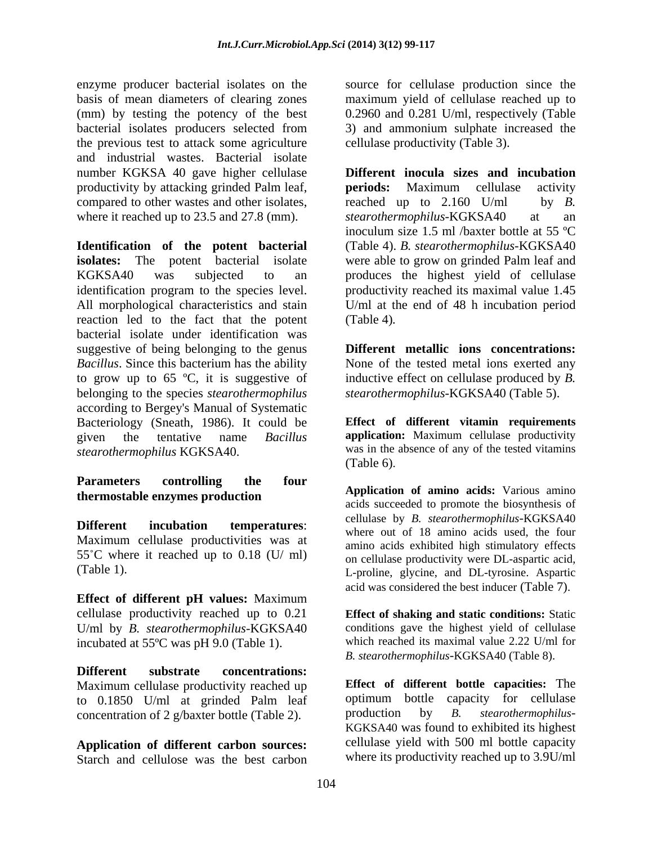enzyme producer bacterial isolates on the source for cellulase production since the basis of mean diameters of clearing zones maximum yield of cellulase reached up to (mm) by testing the potency of the best 0.2960 and 0.281 U/ml, respectively (Table bacterial isolates producers selected from 3) and ammonium sulphate increased the the previous test to attack some agriculture and industrial wastes. Bacterial isolate where it reached up to 23.5 and 27.8 (mm). *stearothermophilus*-KGKSA40 at an

**Identification of the potent bacterial** (Table 4). *B. stearothermophilus-*KGKSA40 **isolates:** The potent bacterial isolate were able to grow on grinded Palm leaf and KGKSA40 was subjected to an produces the highest yield of cellulase identification program to the species level. All morphological characteristics and stain U/ml at the end of 48 h incubation period reaction led to the fact that the potent (Table 4). bacterial isolate under identification was suggestive of being belonging to the genus *Bacillus*. Since this bacterium has the ability None of the tested metal ions exerted any to grow up to 65 ºC, it is suggestive of inductive effect on cellulase produced by *B.*  belonging to the species *stearothermophilus* according to Bergey's Manual of Systematic Bacteriology (Sneath, 1986). It could be given the tentative name *Bacillus* **application:** Maximum cellulase productivity *stearothermophilus* KGKSA40. *was in the* (Table 6).

# **Parameters controlling the four thermostable enzymes production**

Maximum cellulase productivities was at 55<sup>°</sup>C where it reached up to 0.18 (U/ ml)

**Effect of different pH values:** Maximum cellulase productivity reached up to 0.21 U/ml by *B. stearothermophilus-*KGKSA40 incubated at 55ºC was pH 9.0 (Table 1).

**Different substrate concentrations:**  Maximum cellulase productivity reached up to 0.1850 U/ml at grinded Palm leaf optimum bottle capacity for cellulase<br>concentration of 2  $\sigma$ /baxter bottle (Table 2) production by *B*. *stearothermophilus*concentration of 2 g/baxter bottle (Table 2).

**Application of different carbon sources:** Starch and cellulose was the best carbon

cellulase productivity (Table 3).

number KGKSA 40 gave higher cellulase **Different inocula sizes and incubation** productivity by attacking grinded Palm leaf, **periods:** Maximum cellulase activity<br>compared to other wastes and other isolates, reached up to 2.160 U/ml by B. **periods:** Maximum cellulase activity reached up to 2.160 U/ml by *B.*   $stearothermophilus-KGKSA40$ inoculum size 1.5 ml /baxter bottle at 55 ºC productivity reached its maximal value 1.45 (Table 4)*.*

> **Different metallic ions concentrations:** *stearothermophilus-*KGKSA40 (Table 5).

**Effect of different vitamin requirements** was in the absence of any of the tested vitamins (Table 6).

**Different incubation temperatures**: (Table 1). L-proline, glycine, and DL-tyrosine. Aspartic **Application of amino acids:** Various amino acids succeeded to promote the biosynthesis of cellulase by *B. stearothermophilus-*KGKSA40 where out of 18 amino acids used, the four amino acids exhibited high stimulatory effects on cellulase productivity were DL-aspartic acid, acid was considered the best inducer (Table 7).

> **Effect of shaking and static conditions:** Static conditions gave the highest yield of cellulase which reached its maximal value 2.22 U/ml for *B. stearothermophilus-*KGKSA40 (Table 8).

**Effect of different bottle capacities:** The optimum bottle capacity for cellulase production by *B. stearothermophilus-* KGKSA40 was found to exhibited its highest cellulase yield with 500 ml bottle capacity where its productivity reached up to 3.9U/ml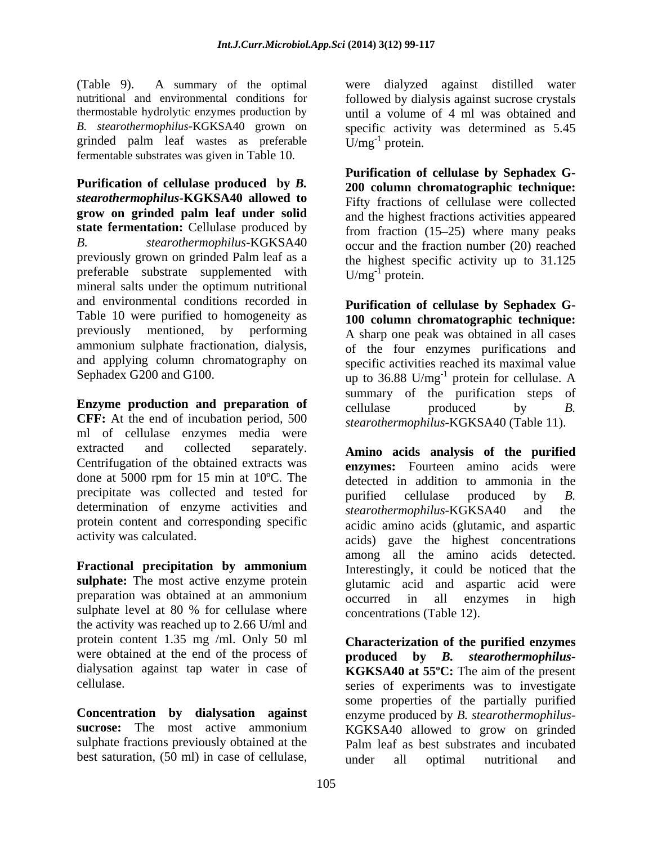(Table 9). A summary of the optimal grinded palm leaf wastes as preferable  $U/mg^{-1}$  protein. fermentable substrates was given in Table 10.

**Purification of cellulase produced by** *B. stearothermophilus-***KGKSA40 allowed to grow on grinded palm leaf under solid** and the highest fractions activities appeared **state fermentation:** Cellulase produced by *B. stearothermophilus-*KGKSA40 occur and the fraction number (20) reached previously grown on grinded Palm leaf as a preferable substrate supplemented with  $U/mg^{-1}$  protein. mineral salts under the optimum nutritional and environmental conditions recorded in Table 10 were purified to homogeneity as **100 column chromatographic technique:** previously mentioned, by performing A sharp one peak was obtained in all cases ammonium sulphate fractionation, dialysis, of the four enzymes purifications and and applying column chromatography on Table 9). A summar principal with the present distilled water in case of cellulase positive distilled water<br>and consider the cellulase of cellulase by spin-tellulase and distilled water against distilled again in the cell

**Enzyme** production and preparation of cellulase produced by B. **CFF:** At the end of incubation period, 500 ml of cellulase enzymes media were extracted and collected separately. **Amino acids analysis of the purified** Centrifugation of the obtained extracts was done at 5000 rpm for 15 min at 10ºC. The precipitate was collected and tested for purified cellulase produced by B. determination of enzyme activities and  $\frac{1}{stearothermophilus-KGKSA40}$  and the protein content and corresponding specific

**Fractional precipitation by ammonium sulphate:** The most active enzyme protein preparation was obtained at an ammonium occurred in all enzymes in high sulphate level at 80 % for cellulase where the activity was reached up to 2.66 U/ml and protein content 1.35 mg /ml. Only 50 ml **Characterization of the purified enzymes** were obtained at the end of the process of  $\qquad \qquad$  produced by  $B$ . stearothermophilus-

nutritional and environmental conditions for followed by dialysis against sucrose crystals thermostable hydrolytic enzymes production by until a volume of 4 ml was obtained and *B. stearothermophilus-*KGKSA40 grown on specific activity was determined as 5.45  $\dot{U}/mg^{-1}$  protein. protein.

> **Purification of cellulase by Sephadex G- 200 column chromatographic technique:** Fifty fractions of cellulase were collected from fraction  $(15-25)$  where many peaks the highest specific activity up to 31.125  $U/mg^{-1}$  protein. protein.

Sephadex G200 and G100.  $\mu$  to 36.88 U/mg<sup>-1</sup> protein for cellulase. A **Purification of cellulase by Sephadex G- <sup>100</sup> column chromatographic technique:** A sharp one peak was obtained in all cases specific activities reached its maximal value protein for cellulase. A summary of the purification steps of cellulase produced by *B. stearothermophilus-*KGKSA40 (Table 11).

activity was calculated. acids) gave the highest concentrations **enzymes:** Fourteen amino acids were detected in addition to ammonia in the purified cellulase produced by *B.*   $stearothermophilus-KGKSA40$ acidic amino acids (glutamic, and aspartic among all the amino acids detected. Interestingly, it could be noticed that the glutamic acid and aspartic acid were occurred in all enzymes in high concentrations (Table 12).

dialysation against tap water in case of **KGKSA40 at 55ºC:** The aim of the present cellulase. series of experiments was to investigate **Concentration by dialysation against** enzyme produced by *B. stearothermophilus* **sucrose:** The most active ammonium KGKSA40 allowed to grow on grinded sulphate fractions previously obtained at the Palm leaf as best substrates and incubated **produced by** *B. stearothermophilus* some properties of the partially purified under all optimal nutritional and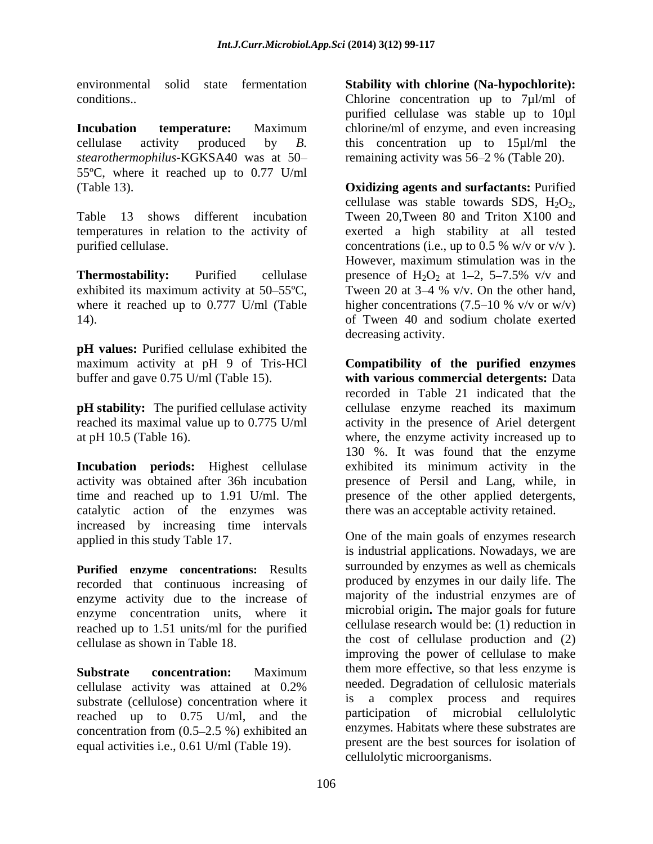*stearothermophilus-*KGKSA40 was at 50 55ºC, where it reached up to 0.77 U/ml

Table 13 shows different incubation Tween 20, Tween 80 and Triton X100 and

exhibited its maximum activity at  $50-55^{\circ}$ C, Tween 20 at  $3-4$  % v/v. On the other hand, 14). Tween 40 and sodium cholate exerted

**pH values:** Purified cellulase exhibited the

**pH stability:** The purified cellulase activity cellulase enzyme reached its maximum

catalytic action of the enzymes was increased by increasing time intervals applied in this study Table 17.

**Purified enzyme concentrations:** Results recorded that continuous increasing of enzyme activity due to the increase of enzyme concentration units, where it reached up to 1.51 units/ml for the purified cellulase as shown in Table 18.

cellulase activity was attained at 0.2% needed. Degradation of cellulosic materials<br>substrate (cellulose) concentration where it is a complex process and requires substrate (cellulose) concentration where it reached up to 0.75 U/ml, and the concentration from  $(0.5-2.5\%)$  exhibited an equal activities i.e., 0.61 U/ml (Table 19).

environmental solid state fermentation **Stability with chlorine (Na-hypochlorite):** conditions.. Chlorine concentration up to 7µl/ml of **Incubation temperature:** Maximum chlorine/ml of enzyme, and even increasing cellulase activity produced by *B.*  this concentration up to 15µl/ml the purified cellulase was stable up to 10µl remaining activity was 56–2 % (Table 20).

(Table 13). **Oxidizing agents and surfactants:** Purified temperatures in relation to the activity of exerted a high stability at all tested purified cellulase.  $\qquad \qquad \text{concentrations (i.e., up to 0.5 % w/v or v/v).}$ **Thermostability:** Purified cellulase presence of  $H_2O_2$  at  $1-2$ ,  $5-7.5\%$  v/v and where it reached up to 0.777 U/ml (Table  $\qquad$  higher concentrations (7.5–10 % v/v or w/v) cellulase was stable towards SDS,  $H_2O_2$ , Tween 20,Tween 80 and Triton X100 and However, maximum stimulation was in the Tween 20 at  $3-4$  % v/v. On the other hand, of Tween 40 and sodium cholate exerted decreasing activity.

maximum activity at pH 9 of Tris-HCl **Compatibility of the purified enzymes** buffer and gave 0.75 U/ml (Table 15). **with various commercial detergents:** Data reached its maximal value up to 0.775 U/ml activity in the presence of Ariel detergent at pH 10.5 (Table 16). where, the enzyme activity increased up to **Incubation periods:** Highest cellulase exhibited its minimum activity in the activity was obtained after 36h incubation presence of Persil and Lang, while, in time and reached up to 1.91 U/ml. The presence of the other applied detergents, recorded in Table 21 indicated that the cellulase enzyme reached its maximum 130 %. It was found that the enzyme there was an acceptable activity retained.

**Substrate** concentration: Maximum them more effective, so that less enzyme is One of the main goals of enzymes research is industrial applications. Nowadays, we are surrounded by enzymes as well as chemicals produced by enzymes in our daily life. The majority of the industrial enzymes are of microbial origin**.** The major goals for future cellulase research would be: (1) reduction in the cost of cellulase production and (2) improving the power of cellulase to make needed. Degradation of cellulosic materials is a complex process and requires participation of microbial cellulolytic enzymes. Habitats where these substrates are present are the best sources for isolation of cellulolytic microorganisms.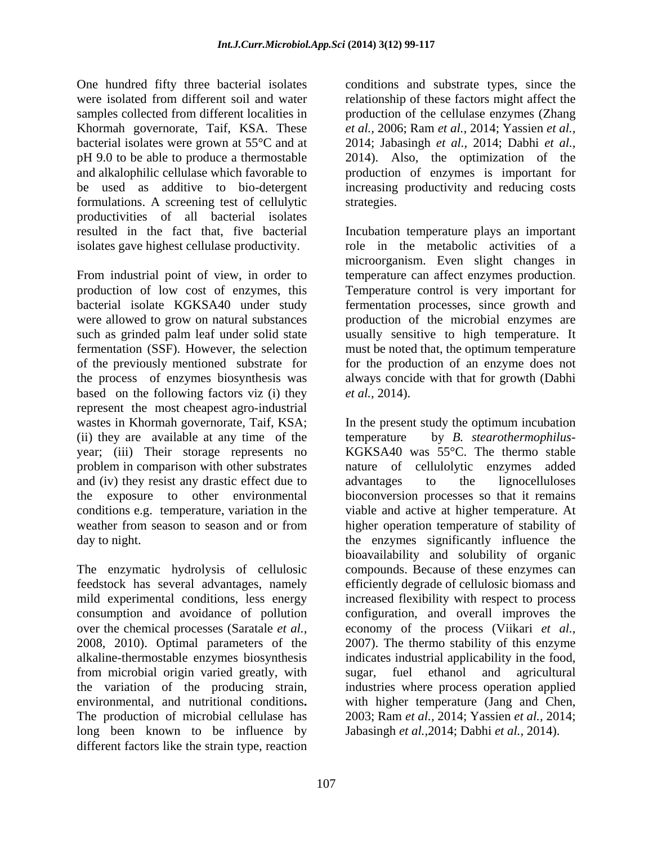One hundred fifty three bacterial isolates conditions and substrate types, since the were isolated from different soil and water relationship of these factors might affect the samples collected from different localities in production of the cellulase enzymes (Zhang Khormah governorate, Taif, KSA. These bacterial isolates were grown at 55°C and at pH 9.0 to be able to produce a thermostable 2014). Also, the optimization of the and alkalophilic cellulase which favorable to production of enzymes is important for be used as additive to bio-detergent increasing productivity and reducing costs formulations. A screening test of cellulytic productivities of all bacterial isolates isolates gave highest cellulase productivity.

From industrial point of view, in order to based on the following factors viz (i) they *et al.*, 2014). represent the most cheapest agro-industrial (ii) they are available at any time of the temperature and (iv) they resist any drastic effect due to advantages to the lignocelluloses

over the chemical processes (Saratale *et al.,* from microbial origin varied greatly, with long been known to be influence by different factors like the strain type, reaction

*et al.,* 2006; Ram *et al.,* 2014; Yassien *et al.,* 2014; Jabasingh *et al.,* 2014; Dabhi *et al.,* strategies.

resulted in the fact that, five bacterial Incubation temperature plays an important production of low cost of enzymes, this Temperature control is very important for bacterial isolate KGKSA40 under study fermentation processes, since growth and were allowed to grow on natural substances production of the microbial enzymes are such as grinded palm leaf under solid state usually sensitive to high temperature. It fermentation (SSF). However, the selection must be noted that, the optimum temperature of the previously mentioned substrate for for the production of an enzyme does not the process of enzymes biosynthesis was always concide with that for growth (Dabhi role in the metabolic activities of a microorganism. Even slight changes in temperature can affect enzymes production. *et al.,* 2014).

wastes in Khormah governorate, Taif, KSA; In the present study the optimum incubation year; (iii) Their storage represents no KGKSA40 was 55°C. The thermo stable problem in comparison with other substrates nature of cellulolytic enzymes added the exposure to other environmental bioconversion processes so that it remains conditions e.g. temperature, variation in the viable and active at higher temperature. At weather from season to season and or from higher operation temperature of stability of day to night. The enzymes significantly influence the The enzymatic hydrolysis of cellulosic compounds. Because of these enzymes can feedstock has several advantages, namely efficiently degrade of cellulosic biomass and mild experimental conditions, less energy increased flexibility with respect to process consumption and avoidance of pollution configuration, and overall improves the 2008, 2010). Optimal parameters of the 2007). The thermo stability of this enzyme alkaline-thermostable enzymes biosynthesis indicates industrial applicability in the food, the variation of the producing strain, industries where process operation applied environmental, and nutritional conditions**.** with higher temperature (Jang and Chen, The production of microbial cellulase has 2003; Ram *et al.,* 2014; Yassien *et al.,* 2014; by *B. stearothermophilus*advantages to the lignocelluloses bioavailability and solubility of organic economy of the process (Viikari *et al.,* sugar, fuel ethanol and agricultural Jabasingh *et al.,*2014; Dabhi *et al.,* 2014).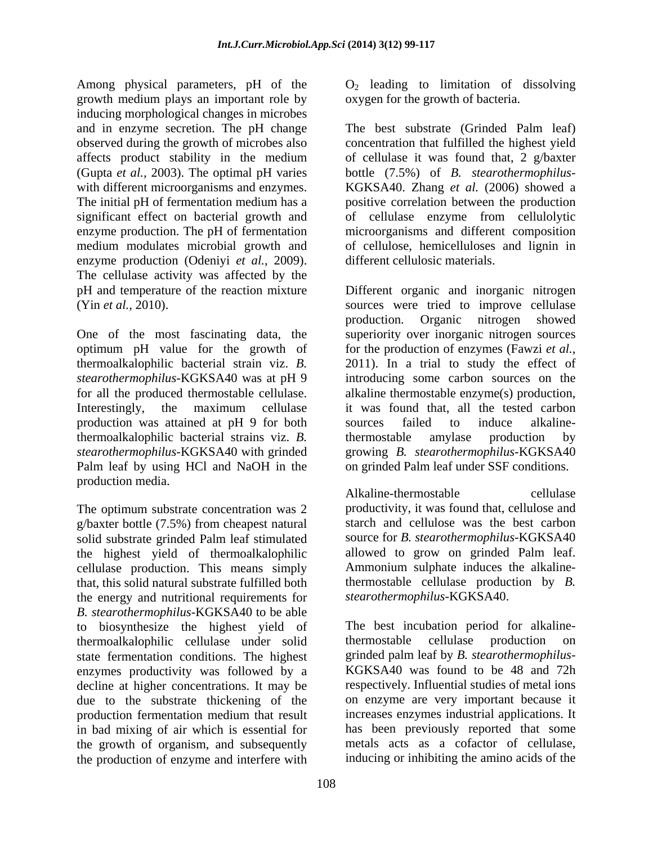Among physical parameters, pH of the  $O_2$  leading to limitation of dissolving growth medium plays an important role by inducing morphological changes in microbes and in enzyme secretion. The pH change medium modulates microbial growth and enzyme production (Odeniyi *et al.,* 2009). The cellulase activity was affected by the

One of the most fascinating data, the superiority over inorganic nitrogen sources optimum pH value for the growth of thermoalkalophilic bacterial strain viz. *B*. 2011). In a trial to study the effect of *stearothermophilus-*KGKSA40 was at pH 9 introducing some carbon sources on the for all the produced thermostable cellulase. alkaline thermostable enzyme(s) production, Interestingly, the maximum cellulase it was found that, all the tested carbon production was attained at pH 9 for both thermoalkalophilic bacterial strains viz. *B. stearothermophilus-*KGKSA40 with grinded growing *B. stearothermophilus-*KGKSA40 Palm leaf by using HCl and NaOH in the production media.<br>Alkaline-thermostable

The optimum substrate concentration was 2 g/baxter bottle (7.5%) from cheapest natural solid substrate grinded Palm leaf stimulated source for *B. stearothermophilus*-KGKSA40<br>the highest vield of thermoalkalophilic allowed to grow on grinded Palm leaf. the highest yield of thermoalkalophilic allowed to grow on grinded Palm leaf.<br>
cellulase production. This means simply Ammonium sulphate induces the alkalinecellulase production. This means simply that, this solid natural substrate fulfilled both the energy and nutritional requirements for *B. stearothermophilus-*KGKSA40 to be able to biosynthesize the highest yield of The best incubation per<br>thermoalkalophilic cellulase under solid thermostable cellulase thermoalkalophilic cellulase under solid state fermentation conditions. The highest enzymes productivity was followed by a decline at higher concentrations. It may be due to the substrate thickening of the in bad mixing of air which is essential for the growth of organism, and subsequently the production of enzyme and interfere with

oxygen for the growth of bacteria.

observed during the growth of microbes also concentration that fulfilled the highest yield affects product stability in the medium of cellulase it was found that, 2 g/baxter (Gupta *et al.,* 2003). The optimal pH varies bottle (7.5%) of *B. stearothermophilus* with different microorganisms and enzymes. KGKSA40. Zhang *et al.* (2006) showed a The initial pH of fermentation medium has a positive correlation between the production significant effect on bacterial growth and of cellulase enzyme from cellulolytic enzyme production. The pH of fermentation microorganisms and different composition The best substrate (Grinded Palm leaf) of cellulose, hemicelluloses and lignin in different cellulosic materials.

pH and temperature of the reaction mixture Different organic and inorganic nitrogen (Yin *et al.*, 2010). Sources were tried to improve cellulase production. Organic nitrogen showed for the production of enzymes (Fawzi *et al.,* it was found that, all the tested carbon sources failed to induce alkalinethermostable amylase production by on grinded Palm leaf under SSF conditions.

Alkaline-thermostable cellulase productivity, it was found that, cellulose and starch and cellulose was the best carbon source for *B. stearothermophilus-*KGKSA40 allowed to grow on grinded Palm leaf. Ammonium sulphate induces the alkalinethermostable cellulase production by *B. stearothermophilus-*KGKSA40.

production fermentation medium that result increases enzymes industrial applications. It The best incubation period for alkalinethermostable cellulase production on grinded palm leaf by *B. stearothermophilus-* KGKSA40 was found to be 48 and 72h respectively. Influential studies of metal ions on enzyme are very important because it increases enzymes industrial applications. It has been previously reported that some metals acts as a cofactor of cellulase, inducing or inhibiting the amino acids of the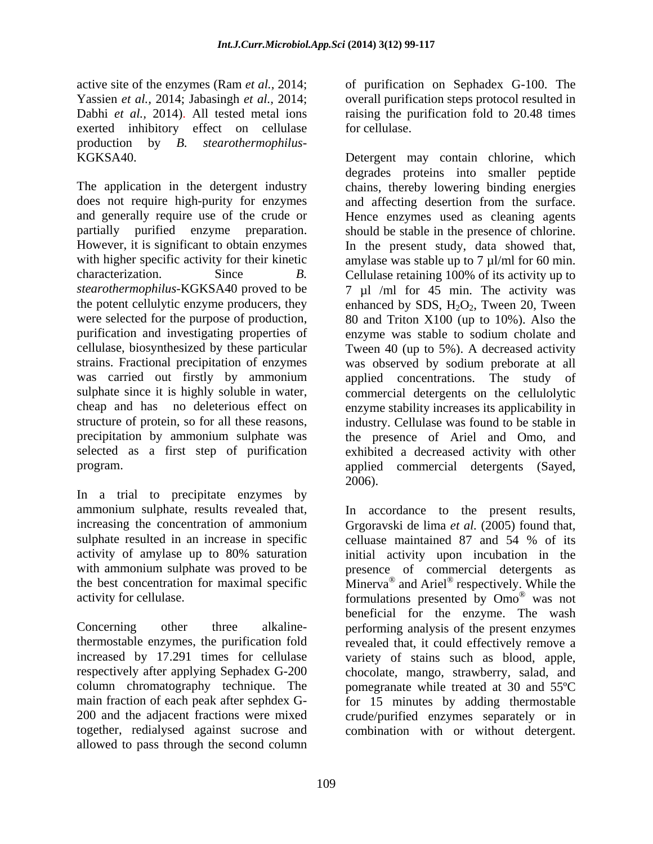Yassien *et al.,* 2014; Jabasingh *et al.,* 2014; exerted inhibitory effect on cellulase for cellulase. production by *B. stearothermophilus-*

does not require high-purity for enzymes and affecting desertion from the surface. with higher specific activity for their kinetic amylase was stable up to  $7 \mu$ l/ml for 60 min. characterization. Since *B*. Cellulase retaining 100% of its activity up to selected as a first step of purification program. applied commercial detergents (Sayed,

In a trial to precipitate enzymes by sulphate resulted in an increase in specific elluase maintained 87 and 54 % of its

column chromatography technique. The 200 and the adjacent fractions were mixed together, redialysed against sucrose and combination with or without detergent.allowed to pass through the second column

active site of the enzymes (Ram *et al.,* 2014; of purification on Sephadex G-100. The Dabhi *et al.,* 2014). All tested metal ions raising the purification fold to 20.48 times overall purification steps protocol resulted in for cellulase.

KGKSA40. Detergent may contain chlorine, which<br>degrades proteins into smaller peptide<br>The application in the detergent industry chains, thereby lowering binding energies and generally require use of the crude or Hence enzymes used as cleaning agents partially purified enzyme preparation. should be stable in the presence of chlorine. However, it is significant to obtain enzymes In the present study, data showed that, *stearothermophilus-*KGKSA40 proved to be 7 µl /ml for 45 min. The activity was the potent cellulytic enzyme producers, they enhanced by SDS,  $H_2O_2$ , Tween 20, Tween were selected for the purpose of production, 80 and Triton X100 (up to 10%). Also the purification and investigating properties of enzyme was stable to sodium cholate and cellulase, biosynthesized by these particular Tween 40 (up to 5%). A decreased activity strains. Fractional precipitation of enzymes was observed by sodium preborate at all was carried out firstly by ammonium applied concentrations. The study of sulphate since it is highly soluble in water, commercial detergents on the cellulolytic cheap and has no deleterious effect on enzyme stability increases its applicability in structure of protein, so for all these reasons, industry. Cellulase was found to be stable in precipitation by ammonium sulphate was the presence of Ariel and Omo, and Detergent may contain chlorine, which degrades proteins into smaller peptide chains, thereby lowering binding energies and affecting desertion from the surface. amylase was stable up to 7  $\mu$ l/ml for 60 min.<br>Cellulase retaining 100% of its activity up to exhibited a decreased activity with other applied commercial detergents (Sayed,<br>2006).

ammonium sulphate, results revealed that, In accordance to the present results, increasing the concentration of ammonium Grgoravski de lima *et al.* (2005) found that, activity of amylase up to 80% saturation initial activity upon incubation in the with ammonium sulphate was proved to be presence of commercial detergents as the best concentration for maximal specific  $\dot{M}$  Minerva<sup>®</sup> and Ariel<sup>®</sup> respectively. While the activity for cellulase.  $\sim$  formulations presented by  $\rm Omo^{\circledast}$  was not Concerning other three alkaline-performing analysis of the present enzymes thermostable enzymes, the purification fold revealed that, it could effectively remove a increased by 17.291 times for cellulase variety of stains such as blood, apple, respectively after applying Sephadex G-200 chocolate, mango, strawberry, salad, and main fraction of each peak after sephdex G- for 15 minutes by adding thermostable celluase maintained 87 and 54 % of its and Ariel<sup>®</sup> respectively. While the was not beneficial for the enzyme. The wash pomegranate while treated at 30 and 55ºC crude/purified enzymes separately or in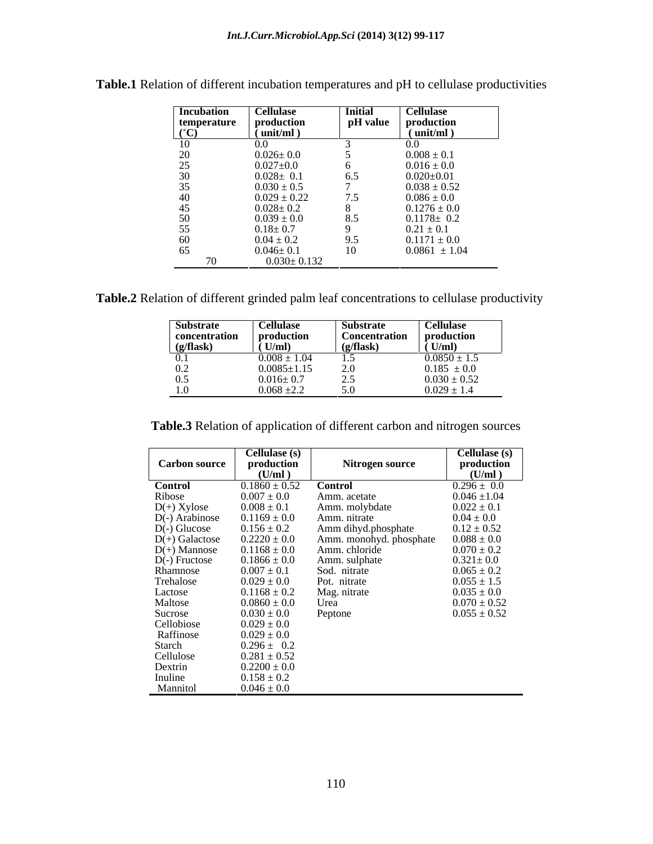| <b>Incubation</b>    | <b>Cellulase</b>    | <b>Initial</b> | <b>Cellulase</b>   |
|----------------------|---------------------|----------------|--------------------|
| temperature          | production          | pH value       | production         |
| $(^\circ\mathbf{C})$ | $\bar{m}$ (unit/ml) |                | ${\rm (unit/ml)}$  |
| 10                   | $0.0\,$             |                |                    |
| $20\,$               | $0.026 \pm 0.0$     |                | $0.008 \pm 0.1$    |
| 25                   | $0.027{\pm}0.0$     |                | $0.016 \pm 0.0$    |
| 30                   | $0.028 \pm 0.1$     | 6.5            | $0.020 {\pm} 0.01$ |
| 35                   | $0.030 \pm 0.5$     |                | $0.038 \pm 0.52$   |
| 40                   | $0.029 \pm 0.22$    | 7.5            | $0.086\pm0.0$      |
| 45                   | $0.028 \pm 0.2$     |                | $0.1276 \pm 0.0$   |
| 50                   | $0.039 \pm 0.0$     | 8.5            | $0.1178 \pm 0.2$   |
| 55                   | $0.18 \pm 0.7$      | $\Omega$       | $0.21 \pm 0.1$     |
| 60                   | $0.04 \pm 0.2$      | 9.5            | $0.1171 \pm 0.0$   |
| 65                   | $0.046 \pm 0.1$     | 10             | $0.0861 \pm 1.04$  |
|                      | $0.030 \pm 0.132$   |                |                    |

**Table.1** Relation of different incubation temperatures and pH to cellulase productivities

**Table.2** Relation of different grinded palm leaf concentrations to cellulase productivity

| <b>Substrate</b> | <b>Cellulase</b>  | <b>Substrate</b>                     | <b>Cellulase</b>                    |
|------------------|-------------------|--------------------------------------|-------------------------------------|
| concentration    | production        | <b>Concentration</b>                 | production                          |
| (g/flask)        | (U/ml)            | $(g/\textbf{flask})$                 | $\tilde{U}$ (U/ml)                  |
| 0.1              | $0.008 \pm 1.04$  | 1.J                                  | $0.0850 \pm 1.5$                    |
| 0.2              | $0.0085 \pm 1.15$ | 20<br>$\mathcal{L} \cdot \mathbf{U}$ |                                     |
| 0.5              | $0.016 \pm 0.7$   | ں ، ب                                | $0.185 \pm 0.0$<br>$0.030 \pm 0.52$ |
| 1.0              | $0.068 \pm 2.2$   | $\sim \cdot$                         | $0.029 \pm 1.4$                     |

**Table.3** Relation of application of different carbon and nitrogen sources

|                      | Cellulase (s)     |                         | Cellulase (s)    |
|----------------------|-------------------|-------------------------|------------------|
| <b>Carbon source</b> | production        | Nitrogen source         | production       |
|                      | (U/ml)            |                         | (U/ml)           |
| <b>Control</b>       | $0.1860 \pm 0.52$ | <b>Control</b>          | $0.296 \pm 0.0$  |
| Ribose               | $0.007\pm0.0$     | Amm. acetate            | $0.046 \pm 1.04$ |
| $D(+)$ Xylose        | $0.008 \pm 0.1$   | Amm. molybdate          | $0.022 \pm 0.1$  |
| D(-) Arabinose       | $0.1169 \pm 0.0$  | Amm. nitrate            | $0.04 \pm 0.0$   |
| $D(-)$ Glucose       | $0.156 \pm 0.2$   | Amm dihyd.phosphate     | $0.12 \pm 0.52$  |
| $D(+)$ Galactose     | $0.2220 \pm 0.0$  | Amm. monohyd. phosphate | $0.088 \pm 0.0$  |
| $D(+)$ Mannose       | $0.1168 \pm 0.0$  | Amm. chloride           | $0.070 \pm 0.2$  |
| $D(-)$ Fructose      | $0.1866 \pm 0.0$  | Amm. sulphate           | $0.321 \pm 0.0$  |
| Rhamnose             | $0.007 \pm 0.1$   | Sod. nitrate            | $0.065 \pm 0.2$  |
| Trehalose            | $0.029 \pm 0.0$   | Pot. nitrate            | $0.055 \pm 1.5$  |
| Lactose              | $0.1168 \pm 0.2$  | Mag. nitrate            | $0.035 \pm 0.0$  |
| Maltose              | $0.0860 \pm 0.0$  | Urea                    | $0.070 \pm 0.52$ |
| Sucrose              | $0.030 \pm 0.0$   | Peptone                 | $0.055 \pm 0.52$ |
| Cellobiose           | $0.029 \pm 0.0$   |                         |                  |
| Raffinose            | $0.029 \pm 0.0$   |                         |                  |
| Starch               | $0.296 \pm 0.2$   |                         |                  |
| Cellulose            | $0.281 \pm 0.52$  |                         |                  |
| Dextrin              | $0.2200 \pm 0.0$  |                         |                  |
| Inuline              | $0.158 \pm 0.2$   |                         |                  |
| Mannitol             | $0.046 \pm 0.0$   |                         |                  |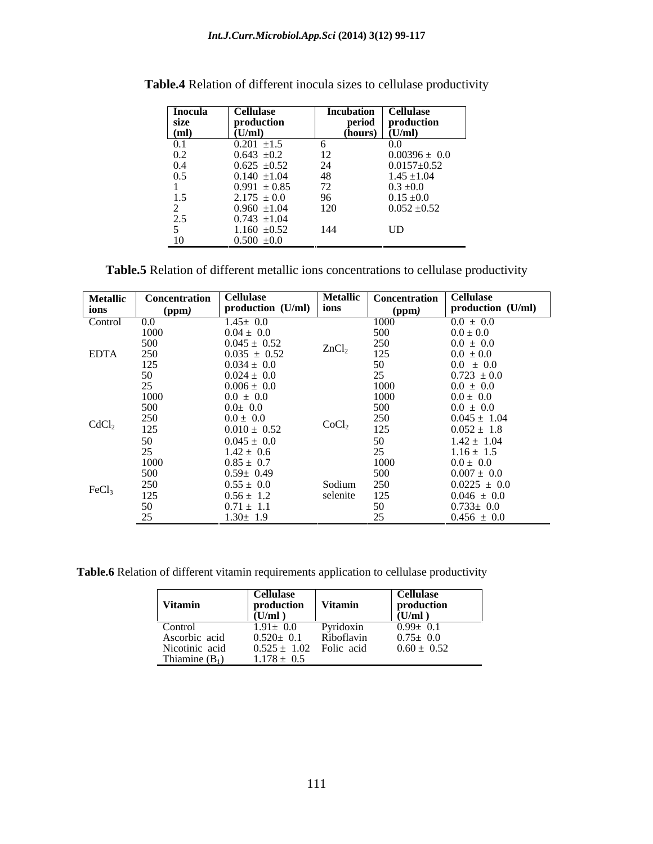| Inocula   | Cellulase        | Incubation     | Cellulase                   |
|-----------|------------------|----------------|-----------------------------|
| size      | production       |                | period production           |
| (ml)<br>∸ | (U/ml)           | (hours)        | $\frac{1}{\sqrt{2}}$ (U/ml) |
| 0.1       | $0.201 \pm 1.5$  |                | 0.0                         |
| 0.2       | $0.643 \pm 0.2$  |                | $0.00396 \pm 0.0$           |
| 0.4       | $0.625 \pm 0.52$ | 24<br>∠⊣       | $0.0157 \pm 0.52$           |
| 0.5       | $0.140 \pm 1.04$ | -48            | $1.45 \pm 1.04$             |
|           | $0.991 \pm 0.85$ | $\overline{a}$ | $0.3 \pm 0.0$               |
| 1.5       | $2.175 \pm 0.0$  | 96             | $0.15 \pm 0.0$              |
|           | $0.960 \pm 1.04$ | 120            | $0.052 \pm 0.52$            |
| 2.5       | $0.743 \pm 1.04$ |                |                             |
|           | $1.160 \pm 0.52$ | 144            | UD                          |
| 10        | $0.500 \pm 0.0$  |                |                             |

**Table.4** Relation of different inocula sizes to cellulase productivity

**Table.5** Relation of different metallic ions concentrations to cellulase productivity

| <b>Metallic</b>   | Concentration   | <b>Cellulase</b><br>production $(U/ml)$ ions | <b>Metallic</b>   | Concentration   Cellulase | production (U/ml) |
|-------------------|-----------------|----------------------------------------------|-------------------|---------------------------|-------------------|
| ions              | (ppm)           |                                              |                   | (ppm)                     |                   |
| Control           | $0.0\,$         | $1.45 \pm 0.0$                               |                   | 1000                      | $0.0 \pm 0.0$     |
|                   | 1000            | $0.04 \pm 0.0$                               |                   | 500                       | $0.0 \pm 0.0$     |
|                   | 500             | $0.045 \pm 0.52$<br>$0.035 \pm 0.52$         | ZnCl <sub>2</sub> | 250                       | $0.0 \pm 0.0$     |
| <b>EDTA</b>       | 250             |                                              |                   | 125                       | $0.0\ \pm0.0$     |
|                   | 125             | $0.034 \pm 0.0$                              |                   | 50                        | $0.0 \pm 0.0$     |
|                   | 50              |                                              |                   | 25                        | $0.723 \pm 0.0$   |
|                   | 25              | $0.024 \pm 0.0$<br>$0.006 \pm 0.0$           |                   | 1000                      | $0.0 \pm 0.0$     |
|                   | 1000            | $0.0 \pm 0.0$                                |                   | 1000                      | $0.0 \pm 0.0$     |
|                   | 500             | $0.0\pm\ 0.0$                                |                   | 500                       | $0.0 \pm 0.0$     |
|                   | 250             | $0.0 \pm 0.0$                                |                   | $250\,$                   | $0.045 \pm 1.04$  |
| CdCl <sub>2</sub> | 125             | $0.010 \pm 0.52$                             | CoCl <sub>2</sub> | 125                       | $0.052 \pm 1.8$   |
|                   |                 | $0.045 \pm 0.0$                              |                   |                           |                   |
|                   | 50              |                                              |                   | 50                        | $1.42 \pm 1.04$   |
|                   | 25              | $1.42 \pm 0.6$                               |                   | 25                        | $1.16 \pm 1.5$    |
|                   | 1000            | $0.85 \pm 0.7$                               |                   | 1000                      | $0.0 \pm 0.0$     |
|                   | 500             | $0.59 \pm 0.49$                              |                   | 500                       | $0.007 \pm 0.0$   |
| FeCl <sub>3</sub> | 250             | $0.55 \pm 0.0$                               | Sodium            | 250                       | $0.0225 \pm 0.0$  |
|                   | 125             | $0.56 \pm 1.2$                               | selenite          | 125                       | $0.046 \pm 0.0$   |
|                   | 50              | $0.71 \pm 1.1$                               |                   | 50                        | $0.733 \pm 0.0$   |
|                   | $\Delta$ $\tau$ | $1.30 \pm 1.9$                               |                   |                           | $0.456 \pm 0.0$   |

**Table.6** Relation of different vitamin requirements application to cellulase productivity

|                  | <b>Cellulase</b>            |                  | Cellulase       |
|------------------|-----------------------------|------------------|-----------------|
| Vitamin          | production                  | <b>Vitamin</b>   | production      |
|                  | (U/m)                       |                  | (U/ml)          |
| Control          | $1.91 \pm 0.0$              | <b>Pyridoxin</b> | $0.99 \pm 0.1$  |
| Ascorbic acid    | $0.520 \pm 0.1$             | Riboflavin       | $0.75 \pm 0.0$  |
| Nicotinic acid   | $0.525 \pm 1.02$ Folic acid |                  | $0.60 \pm 0.52$ |
| Thiamine $(B_1)$ | $1.178 \pm 0.5$             |                  |                 |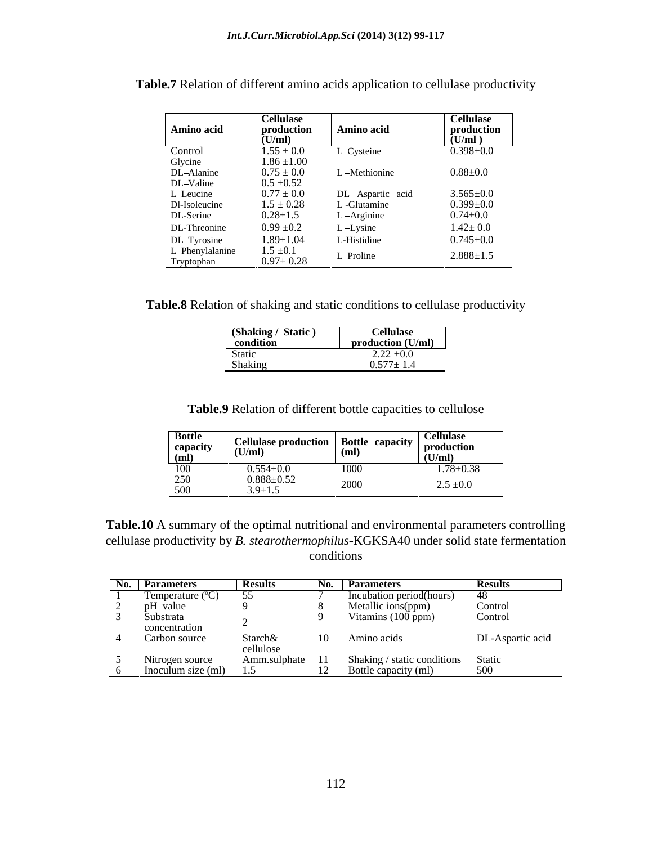|                                              | <b>Cellulase</b>                 |                  | <b>Cellulase</b> |
|----------------------------------------------|----------------------------------|------------------|------------------|
| Amino acid                                   | production                       | Amino acid       | production       |
|                                              | (U/ml)                           |                  | (U/ml)           |
| Control<br>Glycine<br>DL–Alanine             | $1.55 \pm 0.0$                   | L-Cysteine       | $0.398 \pm 0.0$  |
|                                              | $1.86 \pm 1.00$                  |                  |                  |
|                                              | $0.75 \pm 0.0$                   | -Methionine      | $0.88{\pm}0.0$   |
|                                              | $0.5 \pm 0.52$                   |                  |                  |
| DL-Valine<br>L-Leucine<br>Dl-Isoleucine      | $0.77 \pm 0.0$                   | DL-Aspartic acid | $3.565 \pm 0.0$  |
|                                              | $1.5 \pm 0.28$                   | Glutamine        | $0.399 \pm 0.0$  |
| DL-Serine                                    | $0.28 \pm 1.5$                   | L-Arginine       | $0.74{\pm}0.0$   |
| DL-Threonine                                 | $0.99 \pm 0.2$                   | $L$ -Lysine      | $1.42 \pm 0.0$   |
|                                              | $1.89 \pm 1.04$                  | L-Histidine      | $0.745{\pm}0.0$  |
| DL-Tyrosine<br>L-Phenylalanine<br>Tryptophan | $1.5 \pm 0.1$<br>$0.97 \pm 0.28$ | L-Proline        | $2.888 \pm 1.5$  |

**Table.7** Relation of different amino acids application to cellulase productivity

**Table.8** Relation of shaking and static conditions to cellulase productivity

| (Shaking / Static) | <b>Jellulase</b>  |
|--------------------|-------------------|
| condition          | production (U/ml) |
| Static             | $2.22 \pm 0.0$    |
| Shaking            | $0.577 \pm 1.$    |

**Table.9** Relation of different bottle capacities to cellulose

**Table.10** A summary of the optimal nutritional and environmental parameters controlling cellulase productivity by *B. stearothermophilus-*KGKSA40 under solid state fermentation conditions **conditions** 

| No. Parameters             | Results         | No.                           | <b>Parameters</b>                  | <b>Results</b>   |
|----------------------------|-----------------|-------------------------------|------------------------------------|------------------|
| Temperature $(^{\circ}C)$  |                 |                               | Incubation period(hours)           |                  |
| pH value                   |                 |                               | Metallic ions(ppm)                 | Control          |
| Substrata<br>concentration |                 |                               | Vitamins (100 ppm)                 | Control          |
|                            |                 |                               |                                    |                  |
| Carbon source              | Starch&         | 10                            | Amino acids                        | DL-Aspartic acid |
|                            | cellulose       |                               |                                    |                  |
| Nitrogen source            | Amm.sulphate 11 |                               | Shaking / static conditions Static |                  |
| Inoculum size (ml)         |                 | $1^{\wedge}$<br>$\frac{1}{2}$ | Bottle capacity (ml)               | 500              |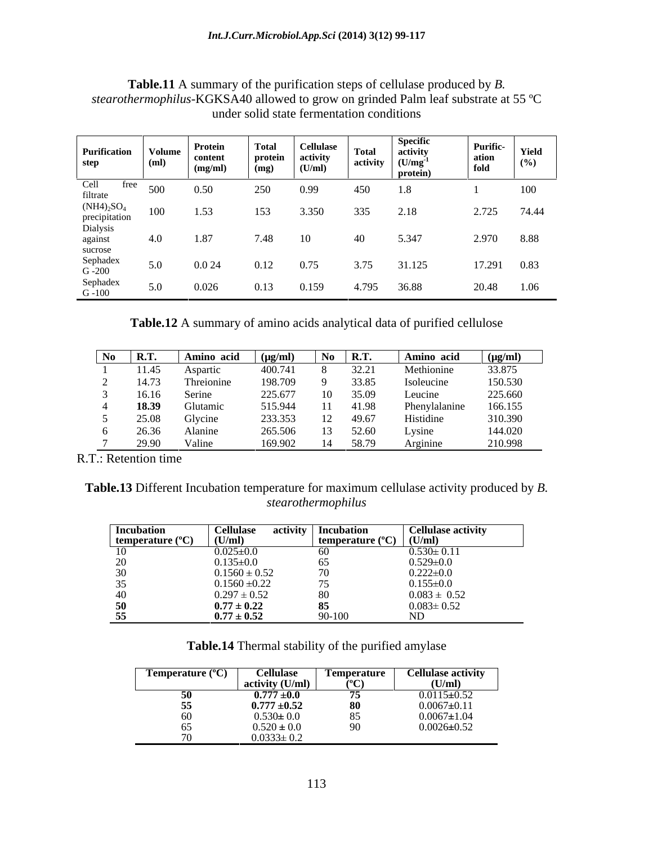| Purification<br>step                                                                                                                                      | Volume<br>(ml) | Protein<br>content<br>(mg/ml) | Total<br>protein<br>(mq) | <b>Cellulase</b><br>$\begin{array}{c} \text{activity} \\ \text{(U/ml)} \end{array}$ | <b>Total</b><br>activity | Specific<br>activity<br>(U/mg <sup>-1</sup><br>protein, | <b>Purific-</b><br>ation<br>fold | Yield<br>(%) |
|-----------------------------------------------------------------------------------------------------------------------------------------------------------|----------------|-------------------------------|--------------------------|-------------------------------------------------------------------------------------|--------------------------|---------------------------------------------------------|----------------------------------|--------------|
| free                                                                                                                                                      | 500            | 0.50                          | 250                      | 0.99                                                                                | 450                      |                                                         |                                  | 100          |
| Cell fre<br>filtrate<br>(NH4) <sub>2</sub> SO <sub>4</sub><br>precipitation<br>Dialysis<br>against<br>sucrose<br>Sephadex<br>G -200<br>Sephadex<br>G -100 | 100            | 1.53                          | 153                      | 3.350                                                                               | 335                      | 2.18                                                    | 2.725 74.44                      |              |
|                                                                                                                                                           | 4.0            | 1.87                          | 7.48                     | 10                                                                                  |                          | 5.347                                                   | 2.970 8.88                       |              |
|                                                                                                                                                           | 5.0            | 0.024                         | 0.12                     | 0.75                                                                                | 3.75                     | 31.125                                                  | 17.291 0.83                      |              |
|                                                                                                                                                           | 5.0            | 0.026                         | 0.13                     | 0.159                                                                               | 4.795                    | 36.88                                                   | 20.48                            | 1.06         |

**Table.11** A summary of the purification steps of cellulase produced by *B. stearothermophilus-*KGKSA40 allowed to grow on grinded Palm leaf substrate at 55 ºC under solid state fermentation conditions

**Table.12** A summary of amino acids analytical data of purified cellulose

| N <sub>0</sub> | <b>R.T.</b> | Amino acid | $(\mu g/ml)$     |          | $\log R$ R.T. | Amino acid    | $(\mu g/ml)$ |
|----------------|-------------|------------|------------------|----------|---------------|---------------|--------------|
|                | 11.45       | Aspartic   | 400.741          |          | 32.21         | Methionine    | 33.875       |
|                | 14.73       | Threionine | 198.709          | $\alpha$ | 33.85         | Isoleucine    | 150.530      |
|                | 16.16       | Serine     | 225.677          |          | 10 35.09      | Leucine       | 225.660      |
|                | 18.39       | Glutamic   | 515.944          |          | 11 41.98      | Phenylalanine | 166.155      |
|                | 5 25.08     | Glycine    | 233.353 12 49.67 |          |               | Histidine     | 310.390      |
|                | 6 26.36     | Alanine    | 265.506 13 52.60 |          |               | Lysine        | 144.020      |
|                | 29.90       | Valine     | 169.902          |          | 14 58.79      | Arginine      | 210.998      |

R.T.: Retention time

**Table.13** Different Incubation temperature for maximum cellulase activity produced by *B. stearothermophilus*

| <b>Incubation</b>         | <b>Cellulase</b>  | activity   Incubation            | <b>Cellulase activity</b>                             |
|---------------------------|-------------------|----------------------------------|-------------------------------------------------------|
| temperature $(^{\circ}C)$ | (U/ml)            | temperature $(^{\circ}C)$ (U/ml) |                                                       |
|                           | $0.025 \pm 0.0$   | 60                               | $0.530 \pm 0.11$                                      |
| $\Omega$                  | $0.135 \pm 0.0$   |                                  |                                                       |
|                           | $0.1560 \pm 0.52$ |                                  |                                                       |
|                           | $0.1560 \pm 0.22$ | $ -$                             | $0.529 \pm 0.0$<br>0.222 $\pm 0.0$<br>0.155 $\pm 0.0$ |
|                           | $0.297 \pm 0.52$  | 80                               | $0.083 \pm 0.52$                                      |
| 50                        | $0.77 \pm 0.22$   | 85                               | $0.083 \pm 0.52$                                      |
| 55                        | $0.77 \pm 0.52$   | 90-100                           |                                                       |

**Table.14** Thermal stability of the purified amylase

| Temperature              | <b><i><u>Cellulase</u></i></b> | <i>Temperature</i> | Cellulase activity |
|--------------------------|--------------------------------|--------------------|--------------------|
|                          | activity $(U/ml)$              | ر 0س<br>л.         | (U/ml)             |
| IJΨ                      | ---<br>$0.777 \pm 0.0$         |                    | $0.0115 \pm 0.52$  |
| $- -$<br>- 33            | $0.777 \pm 0.52$               |                    | $0.0067 \pm 0.11$  |
| $\sim$ $\sim$<br>OU.     | $0.530 \pm 0.0$                | $\sim$ $\sim$      | $0.0067 \pm 1.04$  |
| $-$<br>65                | $0.520 \pm 0.0$                |                    | $0.0026 \pm 0.52$  |
| $\overline{\phantom{a}}$ | $0.0333 \pm 0.2$               |                    |                    |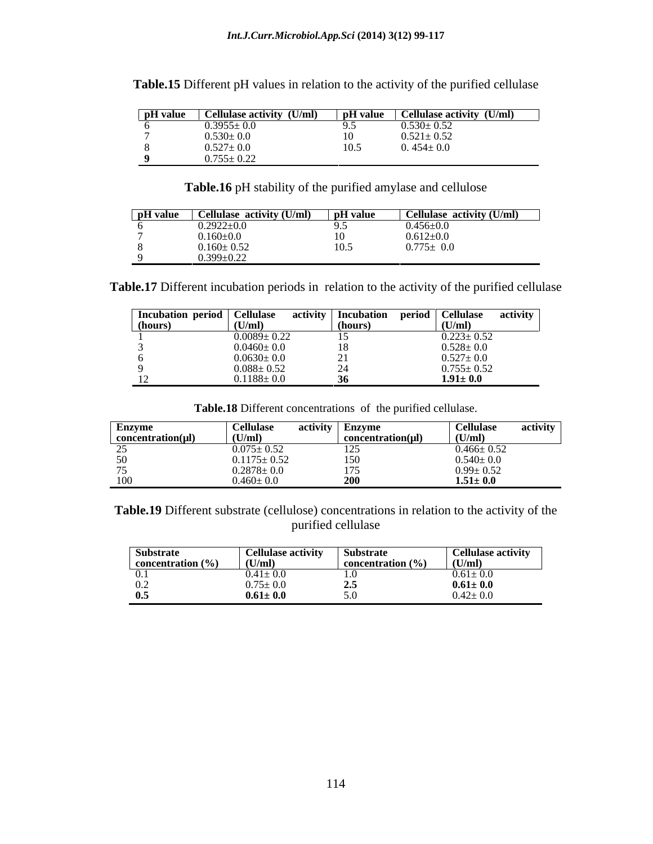| pH value | Cellulase activity (U/ml)                                        | pH value      | Cellulase activity (U/ml) |
|----------|------------------------------------------------------------------|---------------|---------------------------|
|          | $0.3955 \pm 0.0$                                                 | $\sim$ $\sim$ | $0.530 \pm 0.52$          |
|          | $0.530 \pm 0.0$                                                  |               | $0.521 \pm 0.52$          |
|          | $\begin{array}{c} 0.527{\pm}~0.0 \\ 0.755{\pm}~0.22 \end{array}$ |               | $0.454 \pm 0.0$           |
|          |                                                                  |               |                           |

**Table.15** Different pH values in relation to the activity of the purified cellulase

**Table.16** pH stability of the purified amylase and cellulose

| pH value | Cellulase activity (U/ml) | pH value | <b>Cellulase activity (U/ml)</b> |
|----------|---------------------------|----------|----------------------------------|
|          | $0.2922 \pm 0.0$          | ,        | $0.456 \pm 0.01$                 |
|          | $0.160 \pm 0.0$           |          | $0.612 \pm 0.0$                  |
|          | $0.160 \pm 0.52$          | ⊥ ∪ ∙~   | $0.775 \pm 0.0$                  |
|          | $0.399 \pm 0.22$          |          |                                  |

**Table.17** Different incubation periods in relation to the activity of the purified cellulase

| Incubation period   C | Cellulase         | activity       | Incubation | period   Cellulase            | activity |
|-----------------------|-------------------|----------------|------------|-------------------------------|----------|
| (hours)               | (U/ml)            | (hours)        |            | (U/ml)                        |          |
|                       | $0.0089 \pm 0.22$ | $\overline{ }$ |            | $\frac{0.223 \pm 0.52}{0.52}$ |          |
|                       | $0.0460 \pm 0.0$  |                |            | $.528 \pm 0.0$                |          |
|                       | $0.0630 \pm 0.0$  |                |            | $0.527 \pm 0.0$               |          |
|                       | $0.088 \pm 0.52$  |                |            | $0.755 \pm 0.52$              |          |
|                       | $0.1188 \pm 0.0$  |                |            | $1.91 \pm 0.0$                |          |

**Table.18** Different concentrations of the purified cellulase.

| Enzyme                 | <b>Cellulase</b>                    | activity | <b>Enzyme</b>        | <b>Cellulase</b> | activity |
|------------------------|-------------------------------------|----------|----------------------|------------------|----------|
| $concentration(\mu l)$ | (U/ml)                              |          | concentration(µI)    | (U/ml)           |          |
|                        | $0.075 \pm 0.52$                    |          |                      | $0.466 \pm 0.52$ |          |
|                        | $0.1175 \pm 0.52$                   |          | $\sim$ $\sim$ $\sim$ | $0.540 \pm 0.0$  |          |
|                        |                                     |          |                      | $0.99 \pm 0.52$  |          |
| 100                    | $0.2878 \pm 0.0$<br>$0.460 \pm 0.0$ |          |                      | $1.51 \pm 0.0$   |          |

**Table.19** Different substrate (cellulose) concentrations in relation to the activity of the purified cellulase and the set of the set of the set of the set of the set of the set of the set of the set of the set of the set of the set of the set of the set of the set of the set of the set of the set of the set of t

| <b>Substrate</b>              | <b>Cellulase activity</b> | Substrate             | <b>Cellulase activity</b> |
|-------------------------------|---------------------------|-----------------------|---------------------------|
| $\mid$ concentration $(\% )$  | U/m                       | concentration $(\% )$ | (U/ml)                    |
| $\mathbf{v} \cdot \mathbf{r}$ | $0.41 \pm 0.0$            |                       | $0.61 \pm 0.0$            |
| $\mathbf{U} \cdot \mathbf{L}$ | $0.75 \pm 0.0$            |                       | $0.61 \pm 0.0$            |
| 0.5                           | $0.61 \pm 0.0$            |                       | $0.42 \pm 0.0$            |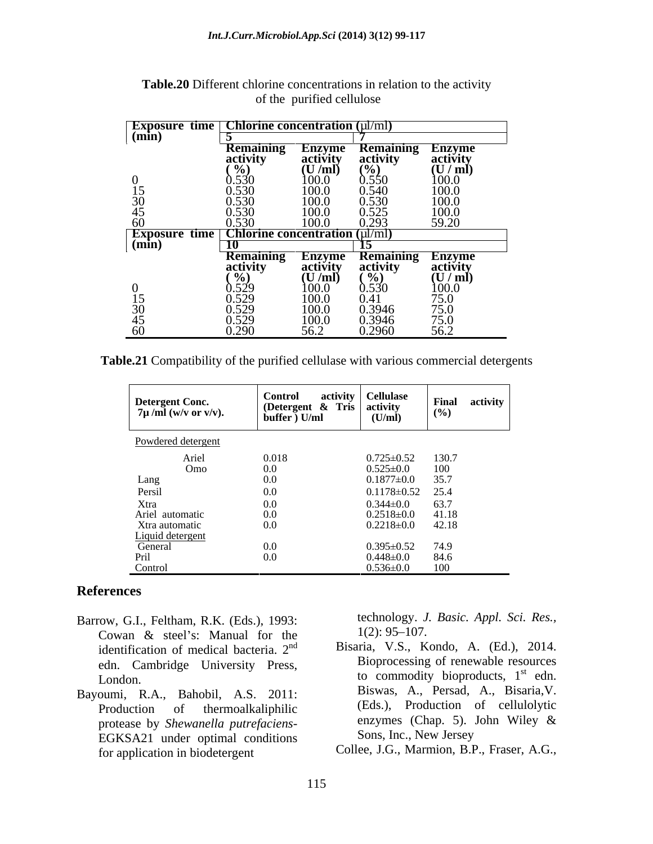| <b>Exposure time</b>   Chlorine concentration $(\mu/\text{ml})$ |                                                                                       |                                       |                                          |                                                                      |
|-----------------------------------------------------------------|---------------------------------------------------------------------------------------|---------------------------------------|------------------------------------------|----------------------------------------------------------------------|
| $(\min)$                                                        |                                                                                       |                                       |                                          |                                                                      |
|                                                                 | Remaining                                                                             | Enzyme<br>activity<br>(U/ml)<br>100.0 | <b>Remaining<br/>activity<br/>(%)</b>    | Enzyme<br>activity<br>(U / ml)                                       |
|                                                                 | $\begin{array}{c}\n\text{activity} \\ \begin{pmatrix} 0/6 \end{pmatrix}\n\end{array}$ |                                       |                                          |                                                                      |
|                                                                 |                                                                                       |                                       |                                          |                                                                      |
|                                                                 | 0.530<br>0.530<br>0.530<br>0.530                                                      |                                       | 0.550                                    | $\begin{array}{c} 100.0 \\ 100.0 \\ 100.0 \end{array}$               |
| $\frac{15}{30}$                                                 |                                                                                       | 100.0                                 | $\overline{0.540}$<br>$\overline{0.530}$ |                                                                      |
|                                                                 |                                                                                       | 100.0                                 |                                          |                                                                      |
|                                                                 |                                                                                       | 100.0                                 | 0.525                                    | $\frac{100.0}{59.20}$                                                |
| 60                                                              | 0.530                                                                                 | 100.0                                 | 0.293                                    |                                                                      |
| <b>Exposure time</b>                                            | $\sqrt{\text{Chlorine concentration (µ/mol)}}$                                        |                                       |                                          |                                                                      |
| $(\min)$                                                        | -10                                                                                   |                                       |                                          |                                                                      |
|                                                                 |                                                                                       |                                       | <b>Remaining<br/>activity<br/>(%)</b>    |                                                                      |
|                                                                 | <b>Remaining</b><br>activity                                                          | Enzyme<br>activity<br>(U/ml)          |                                          | Enzyme<br>activity<br>(U / ml)                                       |
|                                                                 | $\frac{6}{9}$                                                                         |                                       |                                          |                                                                      |
|                                                                 |                                                                                       | $\frac{100.0}{100.0}$                 | 0.530                                    |                                                                      |
|                                                                 |                                                                                       |                                       | 0.41                                     |                                                                      |
| $\frac{15}{30}$                                                 | $\begin{array}{c} 0.529 \\ 0.529 \\ 0.529 \end{array}$                                | 100.0                                 | 0.3946                                   |                                                                      |
|                                                                 | 0.529                                                                                 | 100.0                                 | 0.3946                                   |                                                                      |
| $\frac{45}{60}$                                                 | 0.290                                                                                 | 56.2                                  | 0.2960                                   | $\begin{array}{c} 100.0 \\ 75.0 \\ 75.0 \\ 75.0 \\ 56.2 \end{array}$ |

**Table.20** Different chlorine concentrations in relation to the activity of the purified cellulose

**Table.21** Compatibility of the purified cellulase with various commercial detergents

| Detergent Conc.<br>7µ /ml (w/v or v/v).                    | Control activity   Cellulase<br>  (Detergent & Tris   activity<br>$\text{buffer}$ $\overrightarrow{U/ml}$ | (U/mI)                              | Final $(%$<br>activity                     |  |
|------------------------------------------------------------|-----------------------------------------------------------------------------------------------------------|-------------------------------------|--------------------------------------------|--|
| Powdered detergent                                         |                                                                                                           |                                     |                                            |  |
| Ariel<br>Omo                                               | 0.018                                                                                                     | $0.725 \pm 0.52$ 130.7              |                                            |  |
|                                                            | 0.0<br>$0.0\,$                                                                                            | $0.525 \pm 0.0$<br>$0.1877 \pm 0.0$ | $\frac{100}{35.7}$                         |  |
| Lang<br>Persil                                             | 0.0                                                                                                       | $0.1178 \pm 0.52$ 25.4              |                                            |  |
| Xtra<br>Ariel automatic                                    | 0.0                                                                                                       | $0.344 \pm 0.0$                     | 63.7                                       |  |
|                                                            | 0.0                                                                                                       | $0.2518 \pm 0.0$ 41.18              |                                            |  |
| Xtra automatic                                             | 0.0                                                                                                       | $0.2218 \pm 0.0$ 42.18              |                                            |  |
| Liquid detergent<br>General<br>Pril                        | 0.0                                                                                                       | $0.395 \pm 0.52$ 74.9               |                                            |  |
| Control                                                    | 0.0                                                                                                       | $0.448 \pm 0.0$<br>$0.536 \pm 0.0$  | $\frac{84.6}{100}$                         |  |
|                                                            |                                                                                                           |                                     |                                            |  |
| es                                                         |                                                                                                           |                                     |                                            |  |
|                                                            |                                                                                                           |                                     | technology. J. Basic. Appl. Sci. Res.,     |  |
| G.I., Feltham, R.K. (Eds.), 1993:                          |                                                                                                           | $1(2): 95 - 107.$                   |                                            |  |
| n & steel's: Manual for the                                |                                                                                                           |                                     | Bisaria, V.S., Kondo, A. (Ed.), 2014.      |  |
| fication of medical bacteria. 2 <sup>nd</sup>              |                                                                                                           |                                     | Bioprocessing of renewable resources       |  |
| Cambridge University Press,                                |                                                                                                           |                                     | to commodity bioproducts, $1st$ edn.       |  |
| m.                                                         |                                                                                                           |                                     | Biswas, A., Persad, A., Bisaria, V.        |  |
| R.A., Bahobil, A.S. 2011:                                  |                                                                                                           |                                     | (Eds.), Production of cellulolytic         |  |
| ction of thermoalkaliphilic                                |                                                                                                           |                                     | enzymes (Chap. 5). John Wiley &            |  |
| se by Shewanella putrefaciens-                             |                                                                                                           | Sons, Inc., New Jersey              |                                            |  |
| SA21 under optimal conditions<br>plication in biodetergent |                                                                                                           |                                     | Collee, J.G., Marmion, B.P., Fraser, A.G., |  |

#### **References**

- Barrow, G.I., Feltham, R.K. (Eds.), 1993: technology. J.<br>Cowan & steel's: Manual for the  $1(2): 95-107$ . Cowan & steel's: Manual for the  $1(2)$ :  $95-107$ . identification of medical bacteria. 2<sup>nd</sup> edn. Cambridge University Press,
- Bayoumi, R.A., Bahobil, A.S. 2011: protease by *Shewanella putrefaciens*- EGKSA21 under optimal conditions for application in biodetergent Collee, J.G., Marmion, B.P., Fraser, A.G.,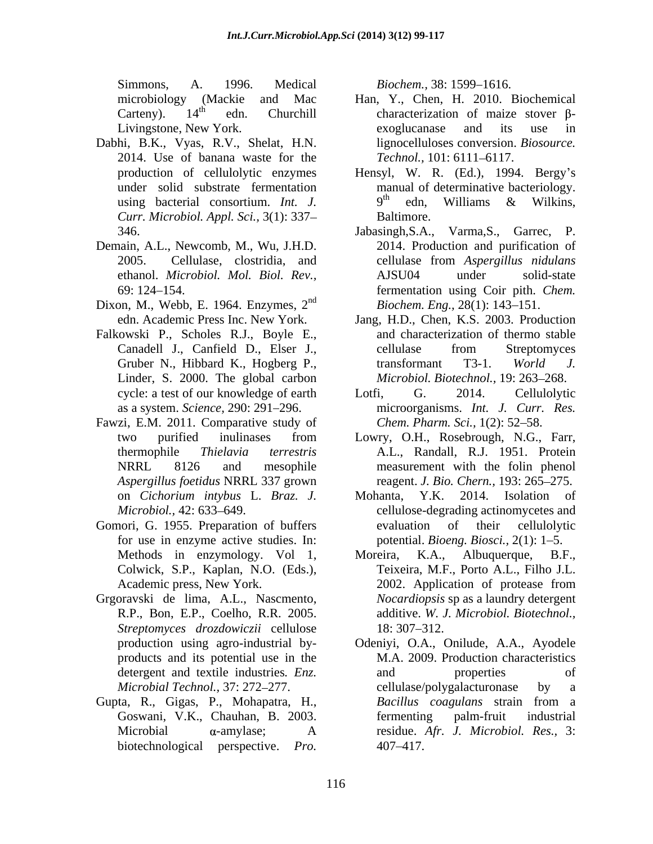Simmons, A. 1996. Medical *Biochem.*, 38: 1599–1616.

- Dabhi, B.K., Vyas, R.V., Shelat, H.N. 2014. Use of banana waste for the *Curr. Microbiol. Appl. Sci.,* 3(1): 337
- Demain, A.L., Newcomb, M., Wu, J.H.D.
- Dixon, M., Webb, E. 1964. Enzymes, 2<sup>nd</sup>
- Falkowski P., Scholes R.J., Boyle E., Linder, S. 2000. The global carbon
- Fawzi, E.M. 2011. Comparative study of *Aspergillus foetidus* NRRL 337 grown
- Gomori, G. 1955. Preparation of buffers evaluation of their cellulolytic for use in enzyme active studies. In:
- R.P., Bon, E.P., Coelho, R.R. 2005. *Streptomyces drozdowiczii* cellulose products and its potential use in the
- Gupta, R., Gigas, P., Mohapatra, H., biotechnological perspective. *Pro.*

*Biochem.,* 38: 1599–1616.

- microbiology (Mackie and Mac Han, Y., Chen, H. 2010. Biochemical Carteny).  $14<sup>th</sup>$  edn. Churchill characterization of maize stover  $\beta$ -Livingstone, New York. exoglucanase and its use in lignocelluloses conversion. *Biosource. Technol.,* 101: 6111-6117.
- production of cellulolytic enzymes Hensyl, W. R. (Ed.), 1994. Bergy s under solid substrate fermentation manual of determinative bacteriology. using bacterial consortium. *Int.* J.  $9^{th}$  edn, Williams & Wilkins,  $9<sup>th</sup>$  edn, Williams & Wilkins,  $\mu$  adm Williams & Williams edn, Williams & Wilkins, Baltimore.
- 346. Jabasingh,S.A., Varma,S., Garrec, P. 2005. Cellulase, clostridia, and cellulase from Aspergillus nidulans ethanol. *Microbiol. Mol. Biol. Rev.,* 69: 124 154. fermentation using Coir pith. *Chem.*  nd *Biochem. Eng.*, 28(1): 143–151. 2014. Production and purification of cellulase from *Aspergillus nidulans* AJSU04 under solid-state
- edn. Academic Press Inc. New York. Jang, H.D., Chen, K.S. 2003. Production Canadell J., Canfield D., Elser J., Gruber N., Hibbard K., Hogberg P., transformant T3-1. World J. and characterization of thermo stable cellulase from Streptomyces transformant T3-1. *World J. Microbiol. Biotechnol., 19: 263-268.*
- cycle: a test of our knowledge of earth Lotfi, G. 2014. Cellulolytic as a system. *Science,* 290: 291 296. microorganisms. *Int. J. Curr. Res.* Lotfi, G. 2014. Cellulolytic *Chem. Pharm. Sci.,* 1(2): 52–58.
- two purified inulinases from Lowry, O.H., Rosebrough, N.G., Farr, thermophile *Thielavia terrestris* A.L., Randall, R.J. 1951. Protein NRRL 8126 and mesophile measurement with the folin phenol reagent. *J. Bio. Chern.*, 193: 265–275.
- on *Cichorium intybus* L. *Braz. J. Microbiol.*, 42: 633–649. The ellulose-degrading actinomycetes and Mohanta, Y.K. 2014. Isolation of evaluation of their cellulolytic potential. *Bioeng. Biosci.*, 2(1): 1–5.
- Methods in enzymology. Vol 1, Moreira, K.A., Albuquerque, B.F., Colwick, S.P., Kaplan, N.O. (Eds.), Teixeira, M.F., Porto A.L., Filho J.L. Academic press, New York. 2002. Application of protease from Grgoravski de lima, A.L., Nascmento, *Nocardiopsis* sp as a laundry detergent Moreira, K.A., Albuquerque, B.F., 2002. Application of protease from additive. *W. J. Microbiol. Biotechnol.,* 18: 307–312.
	- production using agro-industrial by- Odeniyi, O.A., Onilude, A.A., Ayodele detergent and textile industries. *Enz.* and properties of *Microbial Technol.,* 37: 272–277. cellulase/polygalacturonase by a Goswani, V.K., Chauhan, B. 2003. Microbial -amylase; A residue. *Afr. J. Microbiol. Res.,* 3: M.A. 2009. Production characteristics and properties of cellulase/polygalacturonase by a *Bacillus coagulans* strain from a fermenting palm-fruit industrial 407 417.